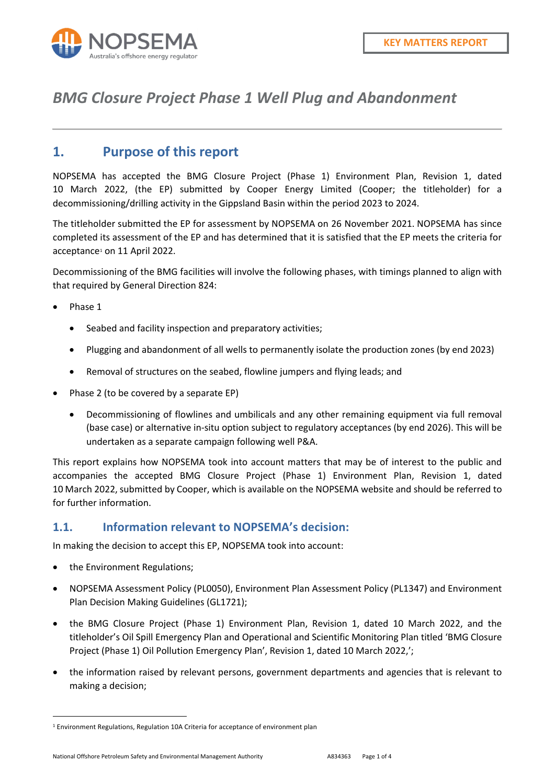

## *BMG Closure Project Phase 1 Well Plug and Abandonment*

### **1. Purpose of this report**

NOPSEMA has accepted the BMG Closure Project (Phase 1) Environment Plan, Revision 1, dated 10 March 2022, (the EP) submitted by Cooper Energy Limited (Cooper; the titleholder) for a decommissioning/drilling activity in the Gippsland Basin within the period 2023 to 2024.

The titleholder submitted the EP for assessment by NOPSEMA on 26 November 2021. NOPSEMA has since completed its assessment of the EP and has determined that it is satisfied that the EP meets the criteria for acceptance<sup>[1](#page-0-0)</sup> on 11 April 2022.

Decommissioning of the BMG facilities will involve the following phases, with timings planned to align with that required by General Direction 824:

- Phase 1
	- Seabed and facility inspection and preparatory activities;
	- Plugging and abandonment of all wells to permanently isolate the production zones (by end 2023)
	- Removal of structures on the seabed, flowline jumpers and flying leads; and
- Phase 2 (to be covered by a separate EP)
	- Decommissioning of flowlines and umbilicals and any other remaining equipment via full removal (base case) or alternative in-situ option subject to regulatory acceptances (by end 2026). This will be undertaken as a separate campaign following well P&A.

This report explains how NOPSEMA took into account matters that may be of interest to the public and accompanies the accepted BMG Closure Project (Phase 1) Environment Plan, Revision 1, dated 10 March 2022, submitted by Cooper, which is available on the NOPSEMA website and should be referred to for further information.

#### **1.1. Information relevant to NOPSEMA's decision:**

In making the decision to accept this EP, NOPSEMA took into account:

the Environment Regulations;

**.** 

- NOPSEMA Assessment Policy (PL0050), Environment Plan Assessment Policy (PL1347) and Environment Plan Decision Making Guidelines (GL1721);
- the BMG Closure Project (Phase 1) Environment Plan, Revision 1, dated 10 March 2022, and the titleholder's Oil Spill Emergency Plan and Operational and Scientific Monitoring Plan titled 'BMG Closure Project (Phase 1) Oil Pollution Emergency Plan', Revision 1, dated 10 March 2022,';
- the information raised by relevant persons, government departments and agencies that is relevant to making a decision;

<span id="page-0-0"></span><sup>1</sup> Environment Regulations, Regulation 10A Criteria for acceptance of environment plan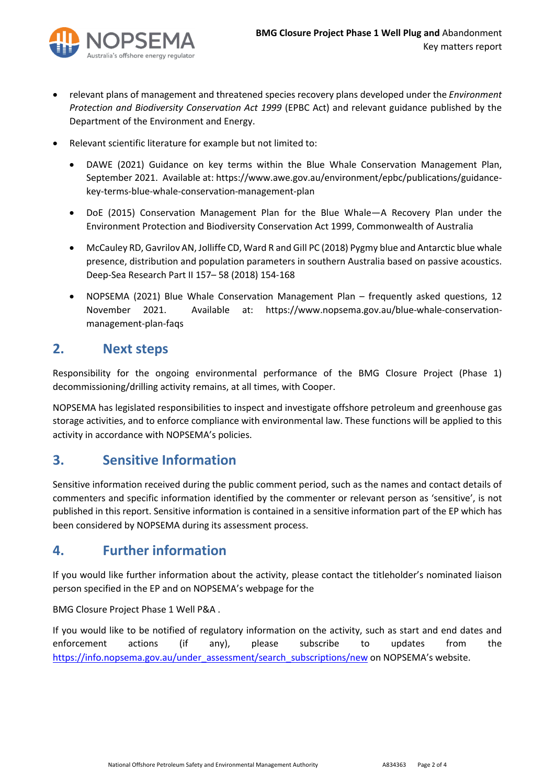

- relevant plans of management and threatened species recovery plans developed under the *Environment Protection and Biodiversity Conservation Act 1999* (EPBC Act) and relevant guidance published by the Department of the Environment and Energy.
- Relevant scientific literature for example but not limited to:
	- DAWE (2021) Guidance on key terms within the Blue Whale Conservation Management Plan, September 2021. Available at: https://www.awe.gov.au/environment/epbc/publications/guidancekey-terms-blue-whale-conservation-management-plan
	- DoE (2015) Conservation Management Plan for the Blue Whale—A Recovery Plan under the Environment Protection and Biodiversity Conservation Act 1999, Commonwealth of Australia
	- McCauley RD, Gavrilov AN, Jolliffe CD, Ward R and Gill PC (2018) Pygmy blue and Antarctic blue whale presence, distribution and population parameters in southern Australia based on passive acoustics. Deep-Sea Research Part II 157– 58 (2018) 154-168
	- NOPSEMA (2021) Blue Whale Conservation Management Plan frequently asked questions, 12 November 2021. Available at: https://www.nopsema.gov.au/blue-whale-conservationmanagement-plan-faqs

#### **2. Next steps**

Responsibility for the ongoing environmental performance of the BMG Closure Project (Phase 1) decommissioning/drilling activity remains, at all times, with Cooper.

NOPSEMA has legislated responsibilities to inspect and investigate offshore petroleum and greenhouse gas storage activities, and to enforce compliance with environmental law. These functions will be applied to this activity in accordance with NOPSEMA's policies.

### **3. Sensitive Information**

Sensitive information received during the public comment period, such as the names and contact details of commenters and specific information identified by the commenter or relevant person as 'sensitive', is not published in this report. Sensitive information is contained in a sensitive information part of the EP which has been considered by NOPSEMA during its assessment process.

### **4. Further information**

If you would like further information about the activity, please contact the titleholder's nominated liaison person specified in the EP and on NOPSEMA's webpage for the

BMG Closure Project Phase 1 Well P&A .

If you would like to be notified of regulatory information on the activity, such as start and end dates and enforcement actions (if any), please subscribe to updates from the [https://info.nopsema.gov.au/under\\_assessment/search\\_subscriptions/new](https://info.nopsema.gov.au/under_assessment/search_subscriptions/new) on NOPSEMA's website.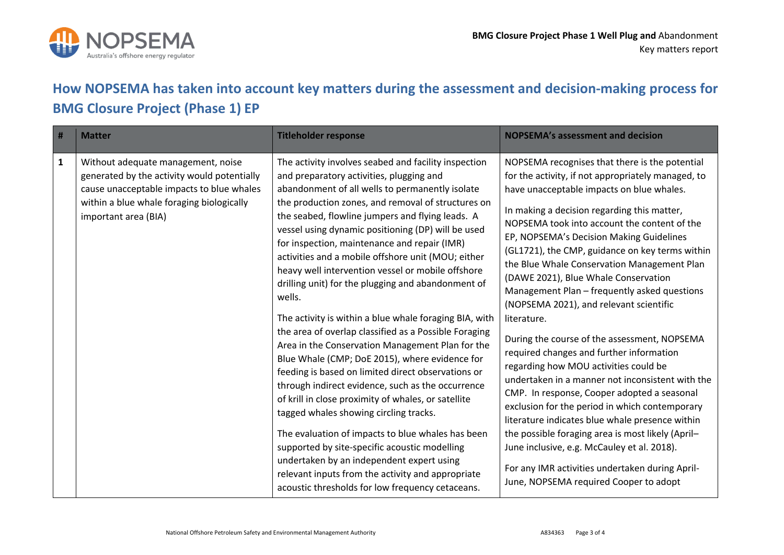

# **How NOPSEMA has taken into account key matters during the assessment and decision-making process for BMG Closure Project (Phase 1) EP**

| #            | <b>Matter</b>                                                                                                                                                                                       | <b>Titleholder response</b>                                                                                                                                                                                                                                                                                                                                                                                                                                                                                                                                                                                                                                                                                                                                                                                                                                                                                                                                                                                                                                                                                                                                                                                                                     | <b>NOPSEMA's assessment and decision</b>                                                                                                                                                                                                                                                                                                                                                                                                                                                                                                                                                                                                                                                                                                                                                                                                                                                                                                                                                                                                                                                       |
|--------------|-----------------------------------------------------------------------------------------------------------------------------------------------------------------------------------------------------|-------------------------------------------------------------------------------------------------------------------------------------------------------------------------------------------------------------------------------------------------------------------------------------------------------------------------------------------------------------------------------------------------------------------------------------------------------------------------------------------------------------------------------------------------------------------------------------------------------------------------------------------------------------------------------------------------------------------------------------------------------------------------------------------------------------------------------------------------------------------------------------------------------------------------------------------------------------------------------------------------------------------------------------------------------------------------------------------------------------------------------------------------------------------------------------------------------------------------------------------------|------------------------------------------------------------------------------------------------------------------------------------------------------------------------------------------------------------------------------------------------------------------------------------------------------------------------------------------------------------------------------------------------------------------------------------------------------------------------------------------------------------------------------------------------------------------------------------------------------------------------------------------------------------------------------------------------------------------------------------------------------------------------------------------------------------------------------------------------------------------------------------------------------------------------------------------------------------------------------------------------------------------------------------------------------------------------------------------------|
| $\mathbf{1}$ | Without adequate management, noise<br>generated by the activity would potentially<br>cause unacceptable impacts to blue whales<br>within a blue whale foraging biologically<br>important area (BIA) | The activity involves seabed and facility inspection<br>and preparatory activities, plugging and<br>abandonment of all wells to permanently isolate<br>the production zones, and removal of structures on<br>the seabed, flowline jumpers and flying leads. A<br>vessel using dynamic positioning (DP) will be used<br>for inspection, maintenance and repair (IMR)<br>activities and a mobile offshore unit (MOU; either<br>heavy well intervention vessel or mobile offshore<br>drilling unit) for the plugging and abandonment of<br>wells.<br>The activity is within a blue whale foraging BIA, with<br>the area of overlap classified as a Possible Foraging<br>Area in the Conservation Management Plan for the<br>Blue Whale (CMP; DoE 2015), where evidence for<br>feeding is based on limited direct observations or<br>through indirect evidence, such as the occurrence<br>of krill in close proximity of whales, or satellite<br>tagged whales showing circling tracks.<br>The evaluation of impacts to blue whales has been<br>supported by site-specific acoustic modelling<br>undertaken by an independent expert using<br>relevant inputs from the activity and appropriate<br>acoustic thresholds for low frequency cetaceans. | NOPSEMA recognises that there is the potential<br>for the activity, if not appropriately managed, to<br>have unacceptable impacts on blue whales.<br>In making a decision regarding this matter,<br>NOPSEMA took into account the content of the<br>EP, NOPSEMA's Decision Making Guidelines<br>(GL1721), the CMP, guidance on key terms within<br>the Blue Whale Conservation Management Plan<br>(DAWE 2021), Blue Whale Conservation<br>Management Plan - frequently asked questions<br>(NOPSEMA 2021), and relevant scientific<br>literature.<br>During the course of the assessment, NOPSEMA<br>required changes and further information<br>regarding how MOU activities could be<br>undertaken in a manner not inconsistent with the<br>CMP. In response, Cooper adopted a seasonal<br>exclusion for the period in which contemporary<br>literature indicates blue whale presence within<br>the possible foraging area is most likely (April-<br>June inclusive, e.g. McCauley et al. 2018).<br>For any IMR activities undertaken during April-<br>June, NOPSEMA required Cooper to adopt |